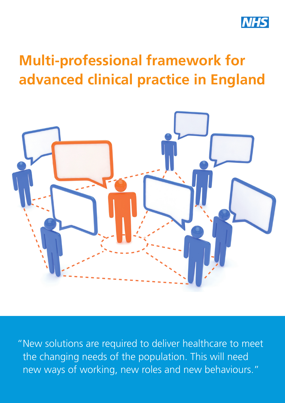

# **Multi-professional framework for advanced clinical practice in England**



"New solutions are required to deliver healthcare to meet the changing needs of the population. This will need new ways of working, new roles and new behaviours."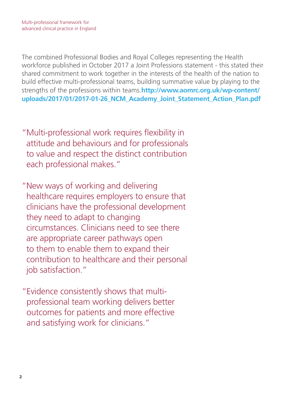The combined Professional Bodies and Royal Colleges representing the Health workforce published in October 2017 a Joint Professions statement - this stated their shared commitment to work together in the interests of the health of the nation to build effective multi-professional teams, building summative value by playing to the strengths of the professions within teams.**http://www.aomrc.org.uk/wp-content/ uploads/2017/01/2017-01-26\_NCM\_Academy\_Joint\_Statement\_Action\_Plan.pdf** 

"Multi-professional work requires flexibility in attitude and behaviours and for professionals to value and respect the distinct contribution each professional makes."

"New ways of working and delivering healthcare requires employers to ensure that clinicians have the professional development they need to adapt to changing circumstances. Clinicians need to see there are appropriate career pathways open to them to enable them to expand their contribution to healthcare and their personal job satisfaction."

"Evidence consistently shows that multiprofessional team working delivers better outcomes for patients and more effective and satisfying work for clinicians."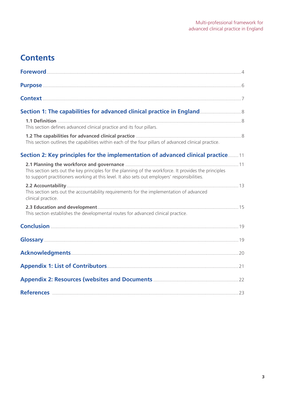### **Contents**

| This section defines advanced clinical practice and its four pillars.                                                                                                                                   |  |
|---------------------------------------------------------------------------------------------------------------------------------------------------------------------------------------------------------|--|
| This section outlines the capabilities within each of the four pillars of advanced clinical practice.                                                                                                   |  |
| Section 2: Key principles for the implementation of advanced clinical practice11                                                                                                                        |  |
| This section sets out the key principles for the planning of the workforce. It provides the principles<br>to support practitioners working at this level. It also sets out employers' responsibilities. |  |
| This section sets out the accountability requirements for the implementation of advanced<br>clinical practice.                                                                                          |  |
| This section establishes the developmental routes for advanced clinical practice.                                                                                                                       |  |
|                                                                                                                                                                                                         |  |
|                                                                                                                                                                                                         |  |
|                                                                                                                                                                                                         |  |
|                                                                                                                                                                                                         |  |
|                                                                                                                                                                                                         |  |
|                                                                                                                                                                                                         |  |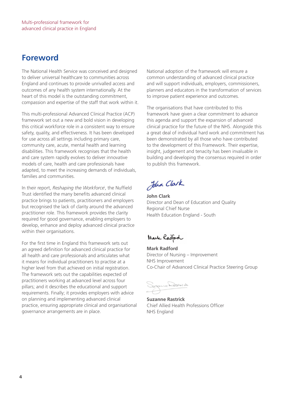### **Foreword**

The National Health Service was conceived and designed to deliver universal healthcare to communities across England and continues to provide unrivalled access and outcomes of any health system internationally. At the heart of this model is the outstanding commitment, compassion and expertise of the staff that work within it.

This multi-professional Advanced Clinical Practice (ACP) framework set out a new and bold vision in developing this critical workforce role in a consistent way to ensure safety, quality, and effectiveness. It has been developed for use across all settings including primary care, community care, acute, mental health and learning disabilities. This framework recognises that the health and care system rapidly evolves to deliver innovative models of care, health and care professionals have adapted, to meet the increasing demands of individuals, families and communities.

In their report, *Reshaping the Workforce*<sup>i</sup> , the Nuffield Trust identified the many benefits advanced clinical practice brings to patients, practitioners and employers but recognised the lack of clarity around the advanced practitioner role. This framework provides the clarity required for good governance, enabling employers to develop, enhance and deploy advanced clinical practice within their organisations.

For the first time in England this framework sets out an agreed definition for advanced clinical practice for all health and care professionals and articulates what it means for individual practitioners to practise at a higher level from that achieved on initial registration. The framework sets out the capabilities expected of practitioners working at advanced level across four pillars; and it describes the educational and support requirements. Finally; it provides employers with advice on planning and implementing advanced clinical practice, ensuring appropriate clinical and organisational governance arrangements are in place.

National adoption of the framework will ensure a common understanding of advanced clinical practice and will support individuals, employers, commissioners, planners and educators in the transformation of services to improve patient experience and outcomes.

The organisations that have contributed to this framework have given a clear commitment to advance this agenda and support the expansion of advanced clinical practice for the future of the NHS. Alongside this a great deal of individual hard work and commitment has been demonstrated by all those who have contributed to the development of this Framework. Their expertise, insight, judgement and tenacity has been invaluable in building and developing the consensus required in order to publish this framework.

John Clark

**John Clark** Director and Dean of Education and Quality Regional Chief Nurse Health Education England - South

Mark Radford

**Mark Radford** Director of Nursing – Improvement NHS Improvement Co-Chair of Advanced Clinical Practice Steering Group

Sozanne Rastrich

**Suzanne Rastrick** Chief Allied Health Professions Officer NHS England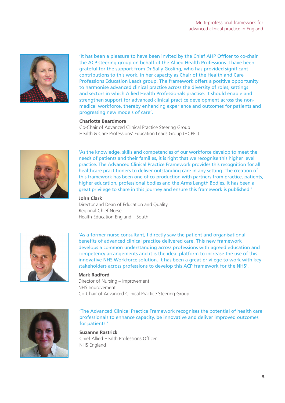

'It has been a pleasure to have been invited by the Chief AHP Officer to co-chair the ACP steering group on behalf of the Allied Health Professions. I have been grateful for the support from Dr Sally Gosling, who has provided significant contributions to this work, in her capacity as Chair of the Health and Care Professions Education Leads group. The framework offers a positive opportunity to harmonise advanced clinical practice across the diversity of roles, settings and sectors in which Allied Health Professionals practise. It should enable and strengthen support for advanced clinical practice development across the nonmedical workforce, thereby enhancing experience and outcomes for patients and progressing new models of care'.

#### **Charlotte Beardmore**

Co-Chair of Advanced Clinical Practice Steering Group Health & Care Professions' Education Leads Group (HCPEL)



'As the knowledge, skills and competencies of our workforce develop to meet the needs of patients and their families, it is right that we recognise this higher level practice. The Advanced Clinical Practice Framework provides this recognition for all healthcare practitioners to deliver outstanding care in any setting. The creation of this framework has been one of co-production with partners from practice, patients, higher education, professional bodies and the Arms Length Bodies. It has been a great privilege to share in this journey and ensure this framework is published.'

#### **John Clark**

Director and Dean of Education and Quality Regional Chief Nurse Health Education England – South



'As a former nurse consultant, I directly saw the patient and organisational benefits of advanced clinical practice delivered care. This new framework develops a common understanding across professions with agreed education and competency arrangements and it is the ideal platform to increase the use of this innovative NHS Workforce solution. It has been a great privilege to work with key stakeholders across professions to develop this ACP framework for the NHS'.

#### **Mark Radford**

Director of Nursing – Improvement NHS Improvement Co-Chair of Advanced Clinical Practice Steering Group



'The Advanced Clinical Practice Framework recognises the potential of health care professionals to enhance capacity, be innovative and deliver improved outcomes for patients.'

**Suzanne Rastrick** Chief Allied Health Professions Officer NHS England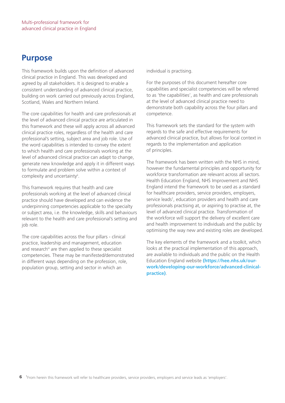### **Purpose**

This framework builds upon the definition of advanced clinical practice in England. This was developed and agreed by all stakeholders. It is designed to enable a consistent understanding of advanced clinical practice, building on work carried out previously across England, Scotland, Wales and Northern Ireland.

The core capabilities for health and care professionals at the level of advanced clinical practice are articulated in this framework and these will apply across all advanced clinical practice roles, regardless of the health and care professional's setting, subject area and job role. Use of the word capabilities is intended to convey the extent to which health and care professionals working at the level of advanced clinical practice can adapt to change, generate new knowledge and apply it in different ways to formulate and problem solve within a context of complexity and uncertainty".

This framework requires that health and care professionals working at the level of advanced clinical practice should have developed and can evidence the underpinning competencies applicable to the specialty or subject area, i.e. the knowledge, skills and behaviours relevant to the health and care professional's setting and job role.

The core capabilities across the four pillars - clinical practice, leadership and management, education and research<sup>iii</sup> are then applied to these specialist competencies. These may be manifested/demonstrated in different ways depending on the profession, role, population group, setting and sector in which an

individual is practising.

For the purposes of this document hereafter core capabilities and specialist competencies will be referred to as 'the capabilities', as health and care professionals at the level of advanced clinical practice need to demonstrate both capability across the four pillars and competence.

This framework sets the standard for the system with regards to the safe and effective requirements for advanced clinical practice, but allows for local context in regards to the implementation and application of principles.

The framework has been written with the NHS in mind, however the fundamental principles and opportunity for workforce transformation are relevant across all sectors. Health Education England, NHS Improvement and NHS England intend the framework to be used as a standard for healthcare providers, service providers, employers, service leads<sup>1</sup>, education providers and health and care professionals practising at, or aspiring to practise at, the level of advanced clinical practice. Transformation of the workforce will support the delivery of excellent care and health improvement to individuals and the public by optimising the way new and existing roles are developed.

The key elements of the framework and a toolkit, which looks at the practical implementation of this approach, are available to individuals and the public on the Health Education England website **(https://hee.nhs.uk/ourwork/developing-our-workforce/advanced-clinicalpractice)**.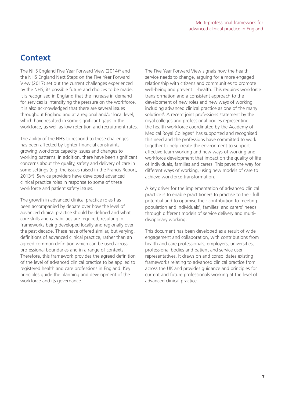### **Context**

The NHS England Five Year Forward View (2014)<sup>iv</sup> and the NHS England Next Steps on the Five Year Forward View (2017) set out the current challenges experienced by the NHS, its possible future and choices to be made. It is recognised in England that the increase in demand for services is intensifying the pressure on the workforce. It is also acknowledged that there are several issues throughout England and at a regional and/or local level, which have resulted in some significant gaps in the workforce, as well as low retention and recruitment rates.

The ability of the NHS to respond to these challenges has been affected by tighter financial constraints, growing workforce capacity issues and changes to working patterns. In addition, there have been significant concerns about the quality, safety and delivery of care in some settings (e.g. the issues raised in the Francis Report, 2013<sup>vi</sup>). Service providers have developed advanced clinical practice roles in response to some of these workforce and patient safety issues.

The growth in advanced clinical practice roles has been accompanied by debate over how the level of advanced clinical practice should be defined and what core skills and capabilities are required, resulting in frameworks being developed locally and regionally over the past decade. These have offered similar, but varying, definitions of advanced clinical practice, rather than an agreed common definition which can be used across professional boundaries and in a range of contexts. Therefore, this framework provides the agreed definition of the level of advanced clinical practice to be applied to registered health and care professions in England. Key principles guide the planning and development of the workforce and its governance.

The Five Year Forward View signals how the health service needs to change, arguing for a more engaged relationship with citizens and communities to promote well-being and prevent ill-health. This requires workforce transformation and a consistent approach to the development of new roles and new ways of working including advanced clinical practice as one of the many solutionsi . A recent joint professions statement by the royal colleges and professional bodies representing the health workforce coordinated by the Academy of Medical Royal Collegesvii has supported and recognised this need and the professions have committed to work together to help create the environment to support effective team working and new ways of working and workforce development that impact on the quality of life of individuals, families and carers. This paves the way for different ways of working, using new models of care to achieve workforce transformation.

A key driver for the implementation of advanced clinical practice is to enable practitioners to practise to their full potential and to optimise their contribution to meeting population and individuals', families' and carers' needs through different models of service delivery and multidisciplinary working.

This document has been developed as a result of wide engagement and collaboration, with contributions from health and care professionals, employers, universities, professional bodies and patient and service user representatives. It draws on and consolidates existing frameworks relating to advanced clinical practice from across the UK and provides guidance and principles for current and future professionals working at the level of advanced clinical practice.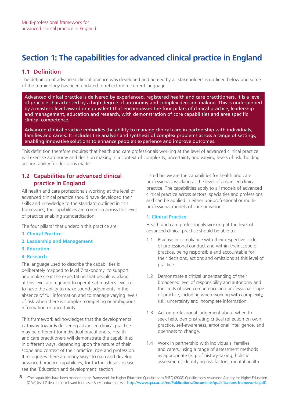## **Section 1: The capabilities for advanced clinical practice in England**

#### **1.1 Definition**

The definition of advanced clinical practice was developed and agreed by all stakeholders is outlined below and some of the terminology has been updated to reflect more current language:

Advanced clinical practice is delivered by experienced, registered health and care practitioners. It is a level of practice characterised by a high degree of autonomy and complex decision making. This is underpinned by a master's level award or equivalent that encompasses the four pillars of clinical practice, leadership and management, education and research, with demonstration of core capabilities and area specific clinical competence.

Advanced clinical practice embodies the ability to manage clinical care in partnership with individuals, families and carers. It includes the analysis and synthesis of complex problems across a range of settings, enabling innovative solutions to enhance people's experience and improve outcomes.

This definition therefore requires that health and care professionals working at the level of advanced clinical practice will exercise autonomy and decision making in a context of complexity, uncertainty and varying levels of risk, holding accountability for decisions made.

#### **1.2 Capabilities for advanced clinical practice in England**

All health and care professionals working at the level of advanced clinical practice should have developed their skills and knowledge to the standard outlined in this framework; the capabilities are common across this level of practice enabling standardisation.

The four pillarsii that underpin this practice are:

- **1. Clinical Practice**
- **2. Leadership and Management**
- **3. Education**

#### **4. Research**

The language used to describe the capabilities is deliberately mapped to level 7 taxonomy to support and make clear the expectation that people working at this level are required to operate at master's level i.e. to have the ability to make sound judgements in the absence of full information and to manage varying levels of risk when there is complex, competing or ambiguous information or uncertainty.

This framework acknowledges that the developmental pathway towards delivering advanced clinical practice may be different for individual practitioners. Health and care practitioners will demonstrate the capabilities in different ways, depending upon the nature of their scope and context of their practice, role and profession. It recognises there are many ways to gain and develop advanced practice capabilities, for further details please see the 'Education and development' section.

Listed below are the capabilities for health and care professionals working at the level of advanced clinical practice. The capabilities apply to all models of advanced clinical practice across sectors, specialties and professions and can be applied in either uni-professional or multiprofessional models of care provision.

#### **1. Clinical Practice**

Health and care professionals working at the level of advanced clinical practice should be able to:

- 1.1 Practise in compliance with their respective code of professional conduct and within their scope of practice, being responsible and accountable for their decisions, actions and omissions at this level of practice.
- 1.2 Demonstrate a critical understanding of their broadened level of responsibility and autonomy and the limits of own competence and professional scope of practice, including when working with complexity, risk, uncertainty and incomplete information.
- 1.3 Act on professional judgement about when to seek help, demonstrating critical reflection on own practice, self-awareness, emotional intelligence, and openness to change.
- 1.4 Work in partnership with individuals, families and carers, using a range of assessment methods as appropriate (e.g. of history-taking; holistic assessment; identifying risk factors; mental health

8 2 The capabilities have been mapped to the Framework for Higher Education Qualifications FHEQ (2008) Qualifications Assurance Agency for Higher Education (QAA) level 7 descriptors relevant for master's level education (see **http://www.qaa.ac.uk/en/Publications/Documents/qualifications-frameworks.pdf**).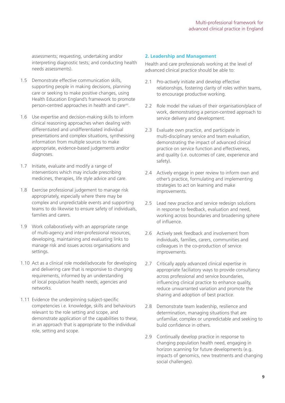assessments; requesting, undertaking and/or interpreting diagnostic tests; and conducting health needs assessments).

- 1.5 Demonstrate effective communication skills, supporting people in making decisions, planning care or seeking to make positive changes, using Health Education England's framework to promote person-centred approaches in health and carevill.
- 1.6 Use expertise and decision-making skills to inform clinical reasoning approaches when dealing with differentiated and undifferentiated individual presentations and complex situations, synthesising information from multiple sources to make appropriate, evidence-based judgements and/or diagnoses.
- 1.7 Initiate, evaluate and modify a range of interventions which may include prescribing medicines, therapies, life style advice and care.
- 1.8 Exercise professional judgement to manage risk appropriately, especially where there may be complex and unpredictable events and supporting teams to do likewise to ensure safety of individuals, families and carers.
- 1.9 Work collaboratively with an appropriate range of multi-agency and inter-professional resources, developing, maintaining and evaluating links to manage risk and issues across organisations and settings.
- 1.10 Act as a clinical role model/advocate for developing and delivering care that is responsive to changing requirements, informed by an understanding of local population health needs, agencies and networks.
- 1.11 Evidence the underpinning subject-specific competencies i.e. knowledge, skills and behaviours relevant to the role setting and scope, and demonstrate application of the capabilities to these, in an approach that is appropriate to the individual role, setting and scope.

#### **2. Leadership and Management**

Health and care professionals working at the level of advanced clinical practice should be able to:

- 2.1 Pro-actively initiate and develop effective relationships, fostering clarity of roles within teams, to encourage productive working.
- 2.2 Role model the values of their organisation/place of work, demonstrating a person-centred approach to service delivery and development.
- 2.3 Evaluate own practice, and participate in multi-disciplinary service and team evaluation, demonstrating the impact of advanced clinical practice on service function and effectiveness, and quality (i.e. outcomes of care, experience and safety).
- 2.4 Actively engage in peer review to inform own and other's practice, formulating and implementing strategies to act on learning and make improvements.
- 2.5 Lead new practice and service redesign solutions in response to feedback, evaluation and need, working across boundaries and broadening sphere of influence.
- 2.6 Actively seek feedback and involvement from individuals, families, carers, communities and colleagues in the co-production of service improvements.
- 2.7 Critically apply advanced clinical expertise in appropriate faciliatory ways to provide consultancy across professional and service boundaries, influencing clinical practice to enhance quality, reduce unwarranted variation and promote the sharing and adoption of best practice.
- 2.8 Demonstrate team leadership, resilience and determination, managing situations that are unfamiliar, complex or unpredictable and seeking to build confidence in others.
- 2.9 Continually develop practice in response to changing population health need, engaging in horizon scanning for future developments (e.g. impacts of genomics, new treatments and changing social challenges).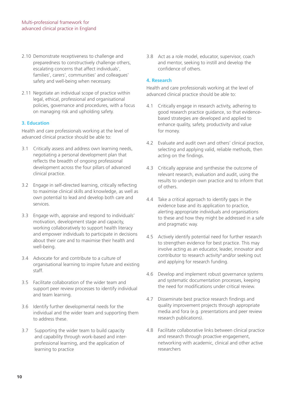- 2.10 Demonstrate receptiveness to challenge and preparedness to constructively challenge others, escalating concerns that affect individuals', families', carers', communities' and colleagues' safety and well-being when necessary.
- 2.11 Negotiate an individual scope of practice within legal, ethical, professional and organisational policies, governance and procedures, with a focus on managing risk and upholding safety.

#### **3. Education**

Health and care professionals working at the level of advanced clinical practice should be able to:

- 3.1 Critically assess and address own learning needs, negotiating a personal development plan that reflects the breadth of ongoing professional development across the four pillars of advanced clinical practice.
- 3.2 Engage in self-directed learning, critically reflecting to maximise clinical skills and knowledge, as well as own potential to lead and develop both care and services.
- 3.3 Engage with, appraise and respond to individuals' motivation, development stage and capacity, working collaboratively to support health literacy and empower individuals to participate in decisions about their care and to maximise their health and well-being.
- 3.4 Advocate for and contribute to a culture of organisational learning to inspire future and existing staff.
- 3.5 Facilitate collaboration of the wider team and support peer review processes to identify individual and team learning.
- 3.6 Identify further developmental needs for the individual and the wider team and supporting them to address these.
- 3.7 Supporting the wider team to build capacity and capability through work-based and interprofessional learning, and the application of learning to practice

3.8 Act as a role model, educator, supervisor, coach and mentor, seeking to instill and develop the confidence of others.

#### **4. Research**

Health and care professionals working at the level of advanced clinical practice should be able to:

- 4.1 Critically engage in research activity, adhering to good research practice guidance, so that evidencebased strategies are developed and applied to enhance quality, safety, productivity and value for money.
- 4.2 Evaluate and audit own and others' clinical practice, selecting and applying valid, reliable methods, then acting on the findings.
- 4.3 Critically appraise and synthesise the outcome of relevant research, evaluation and audit, using the results to underpin own practice and to inform that of others.
- 4.4 Take a critical approach to identify gaps in the evidence base and its application to practice, alerting appropriate individuals and organisations to these and how they might be addressed in a safe and pragmatic way.
- 4.5 Actively identify potential need for further research to strengthen evidence for best practice. This may involve acting as an educator, leader, innovator and contributor to research activity<sup>ix</sup> and/or seeking out and applying for research funding.
- 4.6 Develop and implement robust governance systems and systematic documentation processes, keeping the need for modifications under critical review.
- 4.7 Disseminate best practice research findings and quality improvement projects through appropriate media and fora (e.g. presentations and peer review research publications).
- 4.8 Facilitate collaborative links between clinical practice and research through proactive engagement, networking with academic, clinical and other active researchers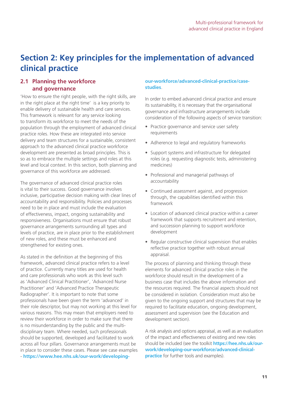### **Section 2: Key principles for the implementation of advanced clinical practice**

#### **2.1 Planning the workforce and governance**

'How to ensure the right people, with the right skills, are in the right place at the right time' is a key priority to enable delivery of sustainable health and care services. This framework is relevant for any service looking to transform its workforce to meet the needs of the population through the employment of advanced clinical practice roles. How these are integrated into service delivery and team structures for a sustainable, consistent approach to the advanced clinical practice workforce development are presented as broad principles. This is so as to embrace the multiple settings and roles at this level and local context. In this section, both planning and governance of this workforce are addressed.

The governance of advanced clinical practice roles is vital to their success. Good governance involves inclusive, participative decision making with clear lines of accountability and responsibility. Policies and processes need to be in place and must include the evaluation of effectiveness, impact, ongoing sustainability and responsiveness. Organisations must ensure that robust governance arrangements surrounding all types and levels of practice, are in place prior to the establishment of new roles, and these must be enhanced and strengthened for existing ones.

As stated in the definition at the beginning of this framework, advanced clinical practice refers to a level of practice. Currently many titles are used for health and care professionals who work as this level such as 'Advanced Clinical Practitioner', 'Advanced Nurse Practitioner' and 'Advanced Practice Therapeutic Radiographer'. It is important to note that some professionals have been given the term 'advanced' in their role descriptor, but may not working at this level for various reasons. This may mean that employers need to review their workforce in order to make sure that there is no misunderstanding by the public and the multidisciplinary team. Where needed, such professionals should be supported, developed and facilitated to work across all four pillars. Governance arrangements must be in place to consider these cases. Please see case examples - **https://www.hee.nhs.uk/our-work/developing-**

#### **our-workforce/advanced-clinical-practice/casestudies**.

In order to embed advanced clinical practice and ensure its sustainability, it is necessary that the organisational governance and infrastructure arrangements include consideration of the following aspects of service transition:

- Practice governance and service user safety requirements
- Adherence to legal and regulatory frameworks
- Support systems and infrastructure for delegated roles (e.g. requesting diagnostic tests, administering medicines)
- Professional and managerial pathways of accountability
- Continued assessment against, and progression through, the capabilities identified within this framework
- Location of advanced clinical practice within a career framework that supports recruitment and retention, and succession planning to support workforce development
- Regular constructive clinical supervision that enables reflective practice together with robust annual appraisal.

The process of planning and thinking through these elements for advanced clinical practice roles in the workforce should result in the development of a business case that includes the above information and the resources required. The financial aspects should not be considered in isolation. Consideration must also be given to the ongoing support and structures that may be required to facilitate education, ongoing development, assessment and supervision (see the Education and development section).

A risk analysis and options appraisal, as well as an evaluation of the impact and effectiveness of existing and new roles should be included (see the toolkit **https://hee.nhs.uk/ourwork/developing-our-workforce/advanced-clinicalpractice** for further tools and examples).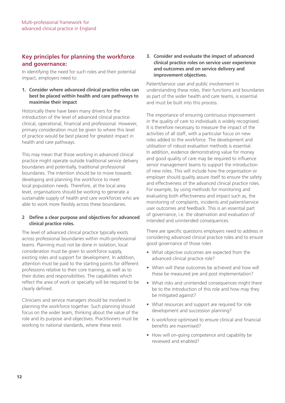### **Key principles for planning the workforce and governance:**

In identifying the need for such roles and their potential impact, employers need to:

**1. Consider where advanced clinical practice roles can best be placed within health and care pathways to maximise their impact**

Historically there have been many drivers for the introduction of the level of advanced clinical practice: clinical, operational, financial and professional. However, primary consideration must be given to where this level of practice would be best placed for greatest impact in health and care pathways.

This may mean that those working in advanced clinical practice might operate outside traditional service delivery boundaries and potentially, traditional professional boundaries. The intention should be to move towards developing and planning the workforce to meet local population needs. Therefore, at the local area level, organisations should be working to generate a sustainable supply of health and care workforces who are able to work more flexibly across these boundaries.

#### **2 Define a clear purpose and objectives for advanced clinical practice roles.**

The level of advanced clinical practice typically exists across professional boundaries within multi-professional teams. Planning must not be done in isolation, local consideration must be given to workforce supply, existing roles and support for development. In addition, attention must be paid to the starting points for different professions relative to their core training, as well as to their duties and responsibilities. The capabilities which reflect the area of work or specialty will be required to be clearly defined.

Clinicians and service managers should be involved in planning the workforce together. Such planning should focus on the wider team, thinking about the value of the role and its purpose and objectives. Practitioners must be working to national standards, where these exist.

#### **3. Consider and evaluate the impact of advanced clinical practice roles on service user experience and outcomes and on service delivery and improvement objectives.**

Patient/service user and public involvement in understanding these roles, their functions and boundaries as part of the wider health and care teams, is essential and must be built into this process.

The importance of ensuring continuous improvement in the quality of care to individuals is widely recognised. It is therefore necessary to measure the impact of the activities of all staff, with a particular focus on new roles added to the workforce. The development and utilisation of robust evaluation methods is essential. In addition, evidence demonstrating value for money and good quality of care may be required to influence senior management teams to support the introduction of new roles. This will include how the organisation or employer should quality assure itself to ensure the safety and effectiveness of the advanced clinical practice roles. For example, by using methods for monitoring and evaluating both effectiveness and impact such as, the monitoring of complaints, incidents and patient/service user outcomes and feedback. This is an essential part of governance, i.e. the observation and evaluation of intended and unintended consequences.

There are specific questions employers need to address in considering advanced clinical practice roles and to ensure good governance of those roles

- What objective outcomes are expected from the advanced clinical practice role?
- When will these outcomes be achieved and how will these be measured pre and post implementation?
- What risks and unintended consequences might there be to the introduction of this role and how may they be mitigated against?
- What resources and support are required for role development and succession planning?
- Is workforce optimised to ensure clinical and financial benefits are maximised?
- How will on-going competence and capability be reviewed and enabled?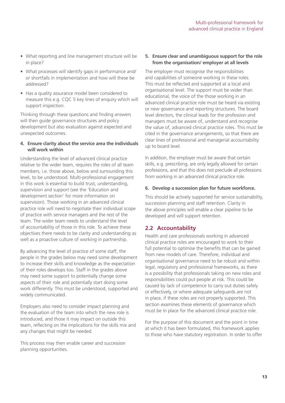- What reporting and line management structure will be in place?
- What processes will identify gaps in performance and/ or shortfalls in implementation and how will these be addressed?
- Has a quality assurance model been considered to measure this e.g. CQC 5 key lines of enquiry which will support inspection.

Thinking through these questions and finding answers will then guide governance structures and policy development but also evaluation against expected and unexpected outcomes.

#### **4. Ensure clarity about the service area the individuals will work within**

Understanding the level of advanced clinical practice relative to the wider team, requires the roles of all team members, i.e. those above, below and surrounding this level, to be understood. Multi-professional engagement in this work is essential to build trust, understanding, supervision and support (see the 'Education and development section' for more information on supervision). Those working in an advanced clinical practice role will need to negotiate their individual scope of practice with service managers and the rest of the team. The wider team needs to understand the level of accountability of those in this role. To achieve these objectives there needs to be clarity and understanding as well as a proactive culture of working in partnership.

By advancing the level of practice of some staff, the people in the grades below may need some development to increase their skills and knowledge as the expectation of their roles develops too. Staff in the grades above may need some support to potentially change some aspects of their role and potentially start doing some work differently. This must be understood, supported and widely communicated.

Employers also need to consider impact planning and the evaluation of the team into which the new role is introduced, and those it may impact on outside this team, reflecting on the implications for the skills mix and any changes that might be needed.

This process may then enable career and succession planning opportunities.

#### **5. Ensure clear and unambiguous support for the role from the organisation/ employer at all levels**

The employer must recognise the responsibilities and capabilities of someone working in these roles. This must be reflected and supported at a local and organisational level. The support must be wider than educational, the voice of the those working in an advanced clinical practice role must be heard via existing or new governance and reporting structures. The board level directors, the clinical leads for the profession and managers must be aware of, understand and recognise the value of, advanced clinical practice roles. This must be cited in the governance arrangements, so that there are clear lines of professional and managerial accountability up to board level.

In addition, the employer must be aware that certain skills, e.g. prescribing, are only legally allowed for certain professions, and that this does not preclude all professions from working in an advanced clinical practice role.

#### **6. Develop a succession plan for future workforce.**

This should be actively supported for service sustainability, succession planning and staff retention. Clarity in the above principles will enable a clear pipeline to be developed and will support retention.

#### **2.2 Accountability**

Health and care professionals working in advanced clinical practice roles are encouraged to work to their full potential to optimise the benefits that can be gained from new models of care. Therefore, individual and organisational governance need to be robust and within legal, regulatory and professional frameworks, as there is a possibility that professionals taking on new roles and responsibilities could put people at risk. This could be caused by lack of competence to carry out duties safely or effectively, or where adequate safeguards are not in place, if these roles are not properly supported. This section examines these elements of governance which must be in place for the advanced clinical practice role.

For the purpose of this document and the point in time at which it has been formulated, this framework applies to those who have statutory registration. In order to offer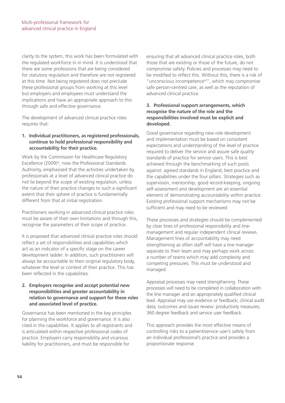clarity to the system, this work has been formulated with the regulated workforce in in mind. It is understood that there are some professions that are being considered for statutory regulation and therefore are not registered at this time. Not being registered does not preclude these professional groups from working at this level but employers and employees must understand the implications and have an appropriate approach to this through safe and effective governance.

The development of advanced clinical practice roles requires that:

#### **1. Individual practitioners, as registered professionals, continue to hold professional responsibility and accountability for their practice.**

Work by the Commission for Healthcare Regulatory Excellence  $(2009)^{xi}$ , now the Professional Standards Authority, emphasised that the activities undertaken by professionals at a level of advanced clinical practice do not lie beyond the scope of existing regulation, unless the nature of their practice changes to such a significant extent that their sphere of practice is fundamentally different from that at initial registration.

Practitioners working in advanced clinical practice roles must be aware of their own limitations and through this, recognise the parameters of their scope of practice.

It is proposed that advanced clinical practice roles should reflect a set of responsibilities and capabilities which act as an indicator of a specific stage on the career development ladder. In addition, such practitioners will always be accountable to their original regulatory body, whatever the level or context of their practice. This has been reflected in the capabilities.

#### **2. Employers recognise and accept potential new responsibilities and greater accountability in relation to governance and support for these roles and associated level of practice.**

Governance has been mentioned in the key principles for planning the workforce and governance. It is also cited in the capabilities. It applies to all registrants and is articulated within respective professional codes of practice. Employers carry responsibility and vicarious liability for practitioners, and must be responsible for

ensuring that all advanced clinical practice roles, both those that are existing or those of the future, do not compromise safety. Policies and processes may need to be modified to reflect this. Without this, there is a risk of "unconscious incompetencexii", which may compromise safe person-centred care, as well as the reputation of advanced clinical practice.

#### **3. Professional support arrangements, which recognise the nature of the role and the responsibilities involved must be explicit and developed.**

Good governance regarding new role development and implementation must be based on consistent expectations and understanding of the level of practice required to deliver the service and assure safe quality standards of practice for service users. This is best achieved through the benchmarking of such posts against: agreed standards in England, best practice and the capabilities under the four pillars. Strategies such as supervision, mentorship, good record-keeping, ongoing self-assessment and development are an essential element of demonstrating accountability within practice. Existing professional support mechanisms may not be sufficient and may need to be reviewed.

These processes and strategies should be complemented by clear lines of professional responsibility and linemanagement and regular independent clinical reviews. Management lines of accountability may need strengthening as often staff will have a line manager separate to their team and may perhaps work across a number of teams which may add complexity and competing pressures. This must be understood and managed.

Appraisal processes may need strengthening. These processes will need to be completed in collaboration with the line manager and an appropriately qualified clinical lead. Appraisal may use evidence or feedback; clinical audit data; outcomes and issues review: productivity measures; 360 degree feedback and service user feedback.

This approach provides the most effective means of controlling risks to a patient/service user's safety from an individual professional's practice and provides a proportionate response.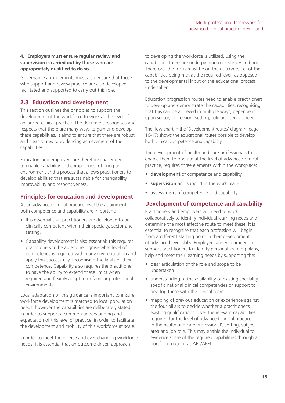#### **4. Employers must ensure regular review and supervision is carried out by those who are appropriately qualified to do so.**

Governance arrangements must also ensure that those who support and review practice are also developed, facilitated and supported to carry out this role.

#### **2.3 Education and development**

This section outlines the principles to support the development of the workforce to work at the level of advanced clinical practice. The document recognises and respects that there are many ways to gain and develop these capabilities. It aims to ensure that there are robust and clear routes to evidencing achievement of the capabilities.

Educators and employers are therefore challenged to enable capability and competence, offering an environment and a process that allows practitioners to develop abilities that are sustainable for changability, improvability and responsiveness.<sup>ii</sup>

### **Principles for education and development**

At an advanced clinical practice level the attainment of both competence and capability are important:

- It is essential that practitioners are developed to be clinically competent within their specialty, sector and setting.
- Capability development is also essential: this requires practitioners to be able to recognise what level of competence is required within any given situation and apply this successfully, recognising the limits of their competence. Capability also requires the practitioner to have the ability to extend these limits when required and flexibly adapt to unfamiliar professional environments.

Local adaptation of this guidance is important to ensure workforce development is matched to local population needs, however the capabilities are deliberately stated in order to support a common understanding and expectation of this level of practice, in order to facilitate the development and mobility of this workforce at scale.

In order to meet the diverse and ever-changing workforce needs, it is essential that an outcome driven approach

to developing the workforce is utilised, using the capabilities to ensure underpinning consistency and rigor. Therefore, the focus must be on the outcome, i.e. of the capabilities being met at the required level, as opposed to the developmental input or the educational process undertaken.

Education progression routes need to enable practitioners to develop and demonstrate the capabilities, recognising that this can be achieved in multiple ways, dependent upon sector, profession, setting, role and service need.

The flow chart in the 'Development routes' diagram (page 16-17) shows the educational routes possible to develop both clinical competence and capability.

The development of health and care professionals to enable them to operate at the level of advanced clinical practice, requires three elements within the workplace:

- **development** of competence and capability
- **supervision** and support in the work place
- **assessment** of competence and capability

#### **Development of competence and capability**

Practitioners and employers will need to work collaboratively to identify individual learning needs and determine the most effective route to meet these. It is essential to recognise that each profession will begin from a different starting point in their development of advanced level skills. Employers are encouraged to support practitioners to identify personal learning plans, help and meet their learning needs by supporting the:

- clear articulation of the role and scope to be undertaken
- understanding of the availability of existing speciality specific national clinical competencies or support to develop these with the clinical team
- mapping of previous education or experience against the four pillars to decide whether a practitioner's existing qualifications cover the relevant capabilities required for the level of advanced clinical practice in the health and care professional's setting, subject area and job role. This may enable the individual to evidence some of the required capabilities through a portfolio route or as APL/APEL.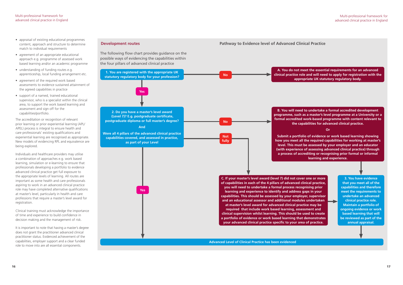- appraisal of existing educational programmes content, approach and structure to determine match to individual requirements
- agreement of an appropriate educational approach e.g. programme of assessed work based learning and/or an academic programme
- understanding of funding routes e.g. apprenticeship, local funding arrangement etc.
- agreement of the required work based assessments to evidence sustained attainment of the agreed capabilities in practice
- support of a named, trained educational supervisor, who is a specialist within the clinical area, to support the work based learning and assessment and sign off for the capabilities/portfolio.

The accreditation or recognition of relevant prior learning or prior experiential learning (APL/ APEL) process is integral to ensure health and care professionals' existing qualifications and experiential learning are recognised as appropriate. New models of evidencing RPL and equivalence are being explored.

Individuals and healthcare providers may utilise a combination of approaches e.g. work based learning, simulation or e-learning to ensure that professionals developing a portfolio to evidence advanced clinical practice get full exposure to the appropriate levels of learning. All routes are important as some health and care professionals aspiring to work in an advanced clinical practice role may have completed alternative qualifications at master's level, particularly in health and care professions that require a master's level award for registration.

Clinical training must acknowledge the importance of time and experience to build confidence in decision making and the management of risk.

It is important to note that having a master's degree does not grant the practitioner advanced clinical practitioner status. Evidenced achievement of the capabilities, employer support and a clear funded role to move into are all essential components.

#### **Development routes Pathway to Evidence level of Advanced Clinical Practice**

The following flow chart provides guidance on the possible ways of evidencing the capabilities within the four pillars of advanced clinical practice

> **A. You do not meet the essential requirements for an advanced clinical practice role and will need to apply for registration with the appropriate UK statutory regulatory body.**

> **B. You will need to undertake a formal accredited development programme, such as a master's level programme at a University or a formal accredited work-based programme with content relevant to the capabilities for advanced clinical practice.**

#### **Or**

**Submit a portfolio of evidence or work based learning showing how you meet all the required capabilities for working at master's level. This must be assessed by your employer and an educator (with experience of assessing advanced clinical practice) through a process of accrediting or recognising prior formal or informal learning and experience.**



**3. You have evidence that you meet all of the capabilities and therefore meet the requirements to undertake an advanced clinical practice role. Maintain a portfolio of ongoing evidence or work based learning that will be reviewed as part of the annual appraisal.**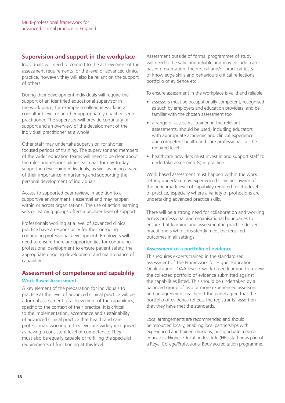#### **Supervision and support in the workplace**

Individuals will need to commit to the achievement of the assessment requirements for the level of advanced clinical practice, however, they will also be reliant on the support of others.

During their development individuals will require the support of an identified educational supervisor in the work place, for example a colleague working at consultant level or another appropriately qualified senior practitioner. The supervisor will provide continuity of support and an overview of the development of the individual practitioner as a whole.

Other staff may undertake supervision for shorter, focused periods of training. The supervisor and members of the wider education teams will need to be clear about the roles and responsibilities each has for day-to-day support in developing individuals, as well as being aware of their importance in nurturing and supporting the personal development of individuals.

Access to supported peer review, in addition to a supportive environment is essential and may happen within or across organisations. The use of action learning sets or learning groups offers a broader level of support.

Professionals working at a level of advanced clinical practice have a responsibility for their on-going continuing professional development. Employers will need to ensure there are opportunities for continuing professional development to ensure patient safety, the appropriate ongoing development and maintenance of capability.

### **Assessment of competence and capability Work Based Assessment**

A key element of the preparation for individuals to practice at the level of advanced clinical practice will be a formal assessment of achievement of the capabilities, specific to the context of their practice. It is critical to the implementation, acceptance and sustainability of advanced clinical practice that health and care professionals working at this level are widely recognised as having a consistent level of competence. They must also be equally capable of fulfilling the specialist requirements of functioning at this level.

Assessment outside of formal programmes of study will need to be valid and reliable and may include: case based presentation, theoretical and/or practical tests of knowledge skills and behaviours critical reflections, portfolio of evidence etc.

To ensure assessment in the workplace is valid and reliable:

- assessors must be occupationally competent, recognised as such by employers and education providers, and be familiar with the chosen assessment tool
- a range of assessors, trained in the relevant assessments, should be used, including educators with appropriate academic and clinical experience and competent health and care professionals at the required level
- healthcare providers must invest in and support staff to undertake assessment(s) in practice.

Work based assessment must happen within the work setting undertaken by experienced clinicians aware of the benchmark level of capability required for this level of practice, especially where a variety of professions are undertaking advanced practice skills.

There will be a strong need for collaboration and working across professional and organisational boundaries to ensure that learning and assessment in practice delivers practitioners who consistently meet the required outcomes in all settings.

#### **Assessment of a portfolio of evidence**

This requires experts trained in the standardised assessment of The Framework for Higher Education Qualification - QAA level 7 work based learning to review the collected portfolio of evidence submitted against the capabilities listed. This should be undertaken by a balanced group of two or more experienced assessors and an agreement reached if the panel agree that the portfolio of evidence reflects the registrants' assertion that they have met the standards.

Local arrangements are recommended and should be resourced locally, enabling local partnerships with experienced and trained clinicians, postgraduate medical educators, Higher Education Institute (HEI) staff or as part of a Royal College/Professional Body accreditation programme.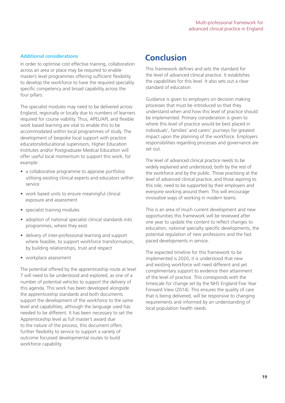#### **Conclusion Additional considerations**

In order to optimise cost effective training, collaboration across an area or place may be required to enable master's level programmes offering sufficient flexibility to develop the workforce to have the required speciality specific competency and broad capability across the four pillars.

The specialist modules may need to be delivered across England, regionally or locally due to numbers of learners required for course viability. Thus, APEL/APL and flexible work based learning are vital to enable this to be accommodated within local programmes of study. The development of bespoke local support with practice educators/educational supervisors, Higher Education Institutes and/or Postgraduate Medical Education will offer useful local momentum to support this work, for example:

- a collaborative programme to appraise portfolios utilising existing clinical experts and educators within service
- work based units to ensure meaningful clinical exposure and assessment
- specialist training modules
- adoption of national specialist clinical standards into programmes, where they exist
- delivery of inter-professional learning and support where feasible, to support workforce transformation, by building relationships, trust and respect
- workplace assessment

The potential offered by the apprenticeship route at level 7 will need to be understood and explored, as one of a number of potential vehicles to support the delivery of this agenda. This work has been developed alongside the apprenticeship standards and both documents support the development of the workforce to the same level and capabilities, although the language used has needed to be different. It has been necessary to set the Apprenticeship level as full master's award due to the nature of the process, this document offers further flexibility to service to support a variety of outcome focussed developmental routes to build workforce capability.

This framework defines and sets the standard for the level of advanced clinical practice. It establishes the capabilities for this level. It also sets out a clear standard of education.

Guidance is given to employers on decision making processes that must be introduced so that they understand when and how this level of practice should be implemented. Primary consideration is given to where this level of practice would be best placed in individuals', families' and carers' journeys for greatest impact upon the planning of the workforce. Employers responsibilities regarding processes and governance are set out.

The level of advanced clinical practice needs to be widely explained and understood, both by the rest of the workforce and by the public. Those practising at the level of advanced clinical practice, and those aspiring to this role, need to be supported by their employers and everyone working around them. This will encourage innovative ways of working in modern teams.

This is an area of much current development and new opportunities this framework will be reviewed after one year to update the content to reflect changes to education, national specialty specific developments, the potential regulation of new professions and the fast paced developments in service.

The expected timeline for this framework to be implemented is 2020, it is understood that new and existing workforce will need different and yet complimentary support to evidence their attainment of the level of practice. This corresponds with the timescale for change set by the NHS England Five Year Forward View (2014). This ensures the quality of care that is being delivered, will be responsive to changing requirements and informed by an understanding of local population health needs.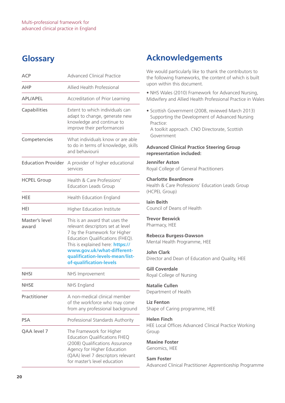### **Glossary**

| <b>ACP</b>                | <b>Advanced Clinical Practice</b>                                                                                                                                                                                                                                               |
|---------------------------|---------------------------------------------------------------------------------------------------------------------------------------------------------------------------------------------------------------------------------------------------------------------------------|
| AHP                       | Allied Health Professional                                                                                                                                                                                                                                                      |
| <b>APL/APEL</b>           | Accreditation of Prior Learning                                                                                                                                                                                                                                                 |
| Capabilities              | Extent to which individuals can<br>adapt to change, generate new<br>knowledge and continue to<br>improve their performanceii                                                                                                                                                    |
| Competencies              | What individuals know or are able<br>to do in terms of knowledge, skills<br>and behaviourii                                                                                                                                                                                     |
| <b>Education Provider</b> | A provider of higher educational<br>services                                                                                                                                                                                                                                    |
| <b>HCPEL Group</b>        | Health & Care Professions'<br><b>Education Leads Group</b>                                                                                                                                                                                                                      |
| <b>HEE</b>                | Health Education England                                                                                                                                                                                                                                                        |
| HEI                       | <b>Higher Education Institute</b>                                                                                                                                                                                                                                               |
| Master's level<br>award   | This is an award that uses the<br>relevant descriptors set at level<br>7 by the Framework for Higher<br>Education Qualifications (FHEQ).<br>This is explained here: <b>https://</b><br>www.gov.uk/what-different-<br>qualification-levels-mean/list-<br>of-qualification-levels |
| <b>NHSI</b>               | NHS Improvement                                                                                                                                                                                                                                                                 |
| <b>NHSE</b>               | NHS England                                                                                                                                                                                                                                                                     |
| Practitioner              | A non-medical clinical member<br>of the workforce who may come<br>from any professional background                                                                                                                                                                              |
| PSA                       | Professional Standards Authority                                                                                                                                                                                                                                                |
| QAA level 7               | The Framework for Higher<br><b>Education Qualifications FHEQ</b><br>(2008) Qualifications Assurance<br>Agency for Higher Education<br>(QAA) level 7 descriptors relevant<br>for master's level education                                                                        |

### **Acknowledgements**

We would particularly like to thank the contributors to the following frameworks, the content of which is built upon within this document.

• NHS Wales (2010) Framework for Advanced Nursing, Midwifery and Allied Health Professional Practice in Wales

• Scottish Government (2008, reviewed March 2013) Supporting the Development of Advanced Nursing Practice: A toolkit approach. CNO Directorate, Scottish Government

#### **Advanced Clinical Practice Steering Group representation included:**

#### **Jennifer Aston** Royal College of General Practitioners

#### **Charlotte Beardmore**

Health & Care Professions' Education Leads Group (HCPEL Group)

**Iain Beith** Council of Deans of Health

**Trevor Beswick** Pharmacy, HEE

#### **Rebecca Burgess-Dawson** Mental Health Programme, HEE

#### **John Clark**

Director and Dean of Education and Quality, HEE

**Gill Coverdale** Royal College of Nursing

#### **Natalie Cullen** Department of Health

#### **Liz Fenton** Shape of Caring programme, HEE

#### **Helen Finch**

HEE Local Offices Advanced Clinical Practice Working Group

**Maxine Foster** Genomics, HEE

#### **Sam Foster**

Advanced Clinical Practitioner Apprenticeship Programme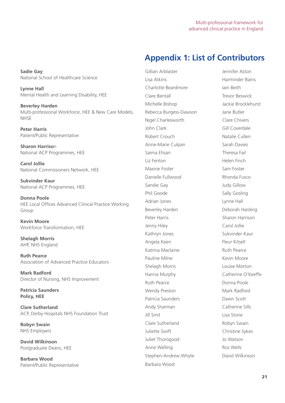### **Appendix 1: List of Contributors**

**Sadie Gay** National School of Healthcare Science

**Lynne Hall** Mental Health and Learning Disability, HEE

**Beverley Harden** Multi-professional Workforce, HEE & New Care Models, **NHSE** 

**Peter Harris** Patient/Public Representative

**Sharon Harriso**n National ACP Programmes, HEE

**Carol Jollie** National Commissioners Network, HEE

**Sukvinder Kaur** National ACP Programmes, HEE

**Donna Poole** HEE Local Offices Advanced Clinical Practice Working Group

**Kevin Moore** Workforce Transformation, HEE

**Shelagh Morris** AHP, NHS England

**Ruth Pearce** Association of Advanced Practice Educators

**Mark Radford** Director of Nursing, NHS Improvement

**Patricia Saunders Policy, HEE**

**Clare Sutherland** ACP, Derby Hospitals NHS Foundation Trust

**Robyn Swain** NHS Employers

**David Wilkinson** Postgraduate Deans, HEE

**Barbara Wood** Patient/Public Representative

Gillian Arblaster **Gillian Arblaster** Jennifer Aston Lisa Atkins Harminder Bains Charlotte Beardmore Iain Beith Clare Bentall Trevor Beswick Michelle Bishop Jackie Brocklehurst Rebecca Burgess-Dawson Jane Butler Nigel Charlesworth Clare Chivers John Clark Gill Coverdale Robert Crouch Natalie Cullen Anne-Marie Culpan Sarah Davies Saima Ehsan Theresa Fail Liz Fenton Helen Finch Maxine Foster Sam Foster Danielle Fullwood Rhonda Fusco Sandie Gay **Sandie Gay Communist Communist Communist Communist Communist Communist Communist Communist Communist Communist Communist Communist Communist Communist Communist Communist Communist Communist Communist Communist** Phil Goode Sally Gosling Adrian Jones **Lynne Hall** Beverley Harden **Deborah Harding** Peter Harris Sharon Harrison Jenny Hiley Carol Jollie Kathryn Jones Sukvinder Kaur Angela Keen **Fleur Kitsell** Katrina Maclaine **Ruth Pearce** Pauline Milne **Kevin Moore** Shelagh Morris Louise Morton Hanna Murphy Catherine O'Keeffe Ruth Pearce Donna Poole Wendy Preston Mark Radford Patricia Saunders Dawn Scott Andy Sharman Catherine Sills **Jill Smit** Lisa Stone Clare Sutherland Robyn Swain Juliette Swift **Christine Sykes** Juliet Thorogood Jo Watson Anne Welling **Ros Wells** Stephen-Andrew Whyte David Wilkinson Barbara Wood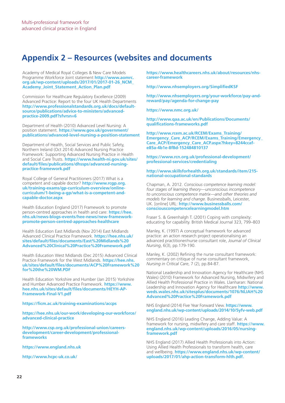### **Appendix 2 – Resources (websites and documents**

Academy of Medical Royal Colleges & New Care Models Programme Workforce Joint statement **http://www.aomrc. org.uk/wp-content/uploads/2017/01/2017-01-26\_NCM\_ Academy\_Joint\_Statement\_Action\_Plan.pdf** 

Commission for Healthcare Regulatory Excellence (2009) Advanced Practice: Report to the four UK Health Departments **http://www.professionalstandards.org.uk/docs/defaultsource/publications/advice-to-ministers/advancedpractice-2009.pdf?sfvrsn=6** 

Department of Health (2010) Advanced Level Nursing: A position statement. **https://www.gov.uk/government/ publications/advanced-level-nursing-a-position-statement** 

Department of Health, Social Services and Public Safety, Northern Ireland (Oct 2014) Advanced Nursing Practice Framework: Supporting Advanced Nursing Practice in Health and Social Care Trusts. **https://www.health-ni.gov.uk/sites/ default/files/publications/dhssps/advanced-nursingpractice-framework.pdf**

Royal College of General Practitioners (2017) What is a competent and capable doctor? **http://www.rcgp.org. uk/training-exams/gp-curriculum-overview/onlinecurriculum/1-being-a-gp/what-is-a-competent-andcapable-doctor.aspx** 

Health Education England (2017) Framework to promote person-centred approaches in health and care: **https://hee. nhs.uk/news-blogs-events/hee-news/new-frameworkpromote-person-centred-approaches-healthcare** 

Health Education East Midlands (Nov 2014) East Midlands Advanced Clinical Practice Framework. **https://hee.nhs.uk/ sites/default/files/documents/East%20Midlands%20 Advanced%20Clinical%20Practice%20Framework.pdf** 

Health Education West Midlands (Dec 2015) Advanced Clinical Practice Framework for the West Midlands. **https://hee.nhs. uk/sites/default/files/documents/ACP%20Framework%20 for%20the%20WM.PDF**

Health Education Yorkshire and Humber (Jan 2015) Yorkshire and Humber Advanced Practice Framework. **https://www. hee.nhs.uk/sites/default/files/documents/HEYH-AP-Framework-Final-V1.pdf**

**https://ficm.ac.uk/training-examinations/accps**

**https://hee.nhs.uk/our-work/developing-our-workforce/ advanced-clinical-practice**

**http://www.csp.org.uk/professional-union/careersdevelopment/career-development/professionalframeworks** 

**https://www.england.nhs.uk**

**http://www.hcpc-uk.co.uk/** 

**https://www.healthcareers.nhs.uk/about/resources/nhscareer-framework**

**http://www.nhsemployers.org/SimplifiedKSF** 

**http://www.nhsemployers.org/your-workforce/pay-andreward/pay/agenda-for-change-pay**

**https://www.nmc.org.uk/**

**http://www.qaa.ac.uk/en/Publications/Documents/ qualifications-frameworks.pdf** 

**http://www.rcem.ac.uk/RCEM/Exams\_Training/ Emergency\_Care\_ACP/RCEM/Exams\_Training/Emergency\_ Care\_ACP/Emergency\_Care\_ACP.aspx?hkey=8244ccafe85a-4b1e-8f8d-152484810137**

#### **https://www.rcn.org.uk/professional-development/ professional-services/credentialing**

#### **http://www.skillsforhealth.org.uk/standards/item/215 national-occupational-standards**

Chapman, A. 2012. *Conscious competence learning model: four stages of learning theory—unconscious incompetence to unconscious competence matrix—and other theories and models for learning and change*. Businessballs, Leicester, UK. [online] URL: **http://www.businessballs.com/ consciouscompetencelearningmodel.htm**

Fraser S. & Greenhalgh T. (2001) Coping with complexity: educating for capability. British Medical Journal 323, 799–803

Manley, K. (1997) A conceptual framework for advanced practice: an action research project operationalising an advanced practitioner/nurse consultant role, *Journal of Clinical Nursing*, 6(3), pp.179-190.

Manley, K. (2002) Refining the nurse consultant framework: commentary on critique of nurse consultant framework, *Nursing in Critical Care*, 7 (2), pp.84-87.

National Leadership and Innovation Agency for Healthcare (NHS Wales) (2010) Framework for Advanced Nursing, Midwifery and Allied Health Professional Practice in Wales. Llanharan: National Leadership and Innovation Agency for Healthcare **http://www. weds.wales.nhs.uk/sitesplus/documents/1076/NLIAH%20 Advanced%20Practice%20Framework.pdf** 

NHS England (2014) Five Year Forward View. **https://www. england.nhs.uk/wp-content/uploads/2014/10/5yfv-web.pdf**

NHS England (2016) Leading Change, Adding Value: A framework for nursing, midwifery and care staff. **https://www. england.nhs.uk/wp-content/uploads/2016/05/nursingframework.pdf**

NHS England (2017) Allied Health Professionals into Action: Using Allied Health Professionals to transform health, care and wellbeing. **https://www.england.nhs.uk/wp-content/ uploads/2017/01/ahp-action-transform-hlth.pdf.**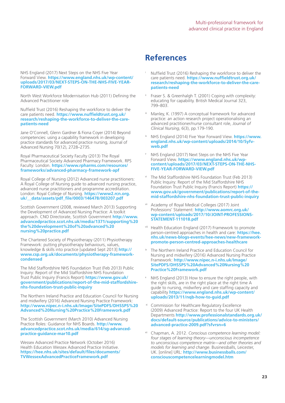NHS England (2017) Next Steps on the NHS Five Year Forward View. **https://www.england.nhs.uk/wp-content/ uploads/2017/03/NEXT-STEPS-ON-THE-NHS-FIVE-YEAR-FORWARD-VIEW.pdf**

North West Workforce Modernisation Hub (2011) Defining the Advanced Practitioner role

Nuffield Trust (2016) Reshaping the workforce to deliver the care patients need. **https://www.nuffieldtrust.org.uk/ research/reshaping-the-workforce-to-deliver-the-carepatients-need**

Jane O'Connell, Glenn Gardner & Fiona Coyer (2014) Beyond competencies: using a capability framework in developing practice standards for advanced practice nursing, Journal of Advanced Nursing 70(12), 2728–2735.

Royal Pharmaceutical Society Faculty (2013) The Royal Pharmaceutical Society Advanced Pharmacy Framework. RPS Faculty: London. **https://www.rpharms.com/resources/ frameworks/advanced-pharmacy-framework-apf** 

Royal College of Nursing (2012) Advanced nurse practitioners: A Royal College of Nursing guide to advanced nursing practice, advanced nurse practitioners and programme accreditation. London: Royal College of Nursing. **https://www2.rcn.org. uk/\_\_data/assets/pdf\_file/0003/146478/003207.pdf** 

Scottish Government (2008, reviewed March 2013) Supporting the Development of Advanced Nursing Practice: A toolkit approach. CNO Directorate, Scottish Government **http://www. advancedpractice.scot.nhs.uk/media/1371/supporting%20 the%20development%20of%20advanced%20 nursing%20practice.pdf** 

The Chartered Society of Physiotherapy (2011) Physiotherapy Framework: putting physiotherapy behaviours, values, knowledge & skills into practice [updated Sept 2013] **http:// www.csp.org.uk/documents/physiotherapy-frameworkcondensed**

The Mid Staffordshire NHS Foundation Trust (Feb 2013) Public Inquiry: Report of the Mid Staffordshire NHS Foundation Trust Public Inquiry (Francis Report) **https://www.gov.uk/ government/publications/report-of-the-mid-staffordshirenhs-foundation-trust-public-inquiry**

The Northern Ireland Practice and Education Council for Nursing and midwifery (2016) Advanced Nursing Practice Framework: **http://www.nipec.n-i.nhs.uk/Image/SitePDFS/DHSSPS%20 Advanced%20Nursing%20Practice%20Framework.pdf**

The Scottish Government (March 2010) Advanced Nursing Practice Roles: Guidance for NHS Boards. **http://www. advancedpractice.scot.nhs.uk/media/614/sg-advancedpractice-guidance-mar10.pdf** 

Wessex Advanced Practice Network (October 2016) Health Education Wessex Advanced Practice Initiative. **https://hee.nhs.uk/sites/default/files/documents/ TVWessexAdvancedPracticeFramework.pdf**

### **References**

- Nuffield Trust (2016) Reshaping the workforce to deliver the care patients need. **https://www.nuffieldtrust.org.uk/ research/reshaping-the-workforce-to-deliver-the-carepatients-need**
- Fraser S. & Greenhalgh T. (2001) Coping with complexity: educating for capability. British Medical Journal 323, 799–803.
- iii Manley, K. (1997) A conceptual framework for advanced practice: an action research project operationalising an advanced practitioner/nurse consultant role, *Journal of Clinical Nursing*, 6(3), pp.179-190.
- NHS England (2014) Five Year Forward View. **https://www. england.nhs.uk/wp-content/uploads/2014/10/5yfvweb.pdf**
- NHS England (2017) Next Steps on the NHS Five Year Forward View. **https://www.england.nhs.uk/wpcontent/uploads/2017/03/NEXT-STEPS-ON-THE-NHS-FIVE-YEAR-FORWARD-VIEW.pdf**
- The Mid Staffordshire NHS Foundation Trust (Feb 2013) Public Inquiry: Report of the Mid Staffordshire NHS Foundation Trust Public Inquiry (Francis Report) **https:// www.gov.uk/government/publications/report-of-themid-staffordshire-nhs-foundation-trust-public-inquiry**
- vii Academy of Royal Medical Colleges (2017) Joint Professions' Statement: **http://www.aomrc.org.uk/ wp-content/uploads/2017/10/JOINT-PROFESSIONS-STATEMENT-111018.pdf**
- viii Health Education England (2017) Framework to promote person-centred approaches in health and care: **https://hee. nhs.uk/news-blogs-events/hee-news/new-frameworkpromote-person-centred-approaches-healthcare**
- The Northern Ireland Practice and Education Council for Nursing and midwifery (2016) Advanced Nursing Practice Framework: **http://www.nipec.n-i.nhs.uk/Image/ SitePDFS/DHSSPS%20Advanced%20Nursing%20 Practice%20Framework.pdf**
- NHS England (2013) How to ensure the right people, with the right skills, are in the right place at the right time A guide to nursing, midwifery and care staffing capacity and capability **https://www.england.nhs.uk/wp-content/ uploads/2013/11/nqb-how-to-guid.pdf**
- Commission for Healthcare Regulatory Excellence (2009) Advanced Practice: Report to the four UK Health Departments **http://www.professionalstandards.org.uk/ docs/default-source/publications/advice-to-ministers/ advanced-practice-2009.pdf?sfvrsn=6**
- xii Chapman, A. 2012. *Conscious competence learning model: four stages of learning theory—unconscious incompetence to unconscious competence matrix—and other theories and models for learning and change*. Businessballs, Leicester, UK. [online] URL: **http://www.businessballs.com/ consciouscompetencelearningmodel.htm**